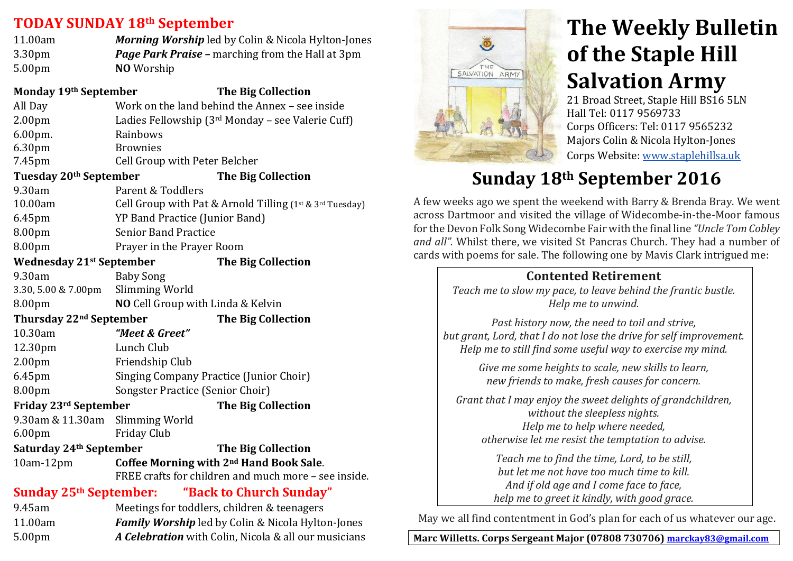#### **TODAY SUNDAY&18th September**

| 11.00am            | <b>Morning Worship</b> led by Colin & Nicola Hylton-Jones |
|--------------------|-----------------------------------------------------------|
| 3.30 <sub>pm</sub> | <b>Page Park Praise -</b> marching from the Hall at 3pm   |
| 5.00 <sub>pm</sub> | <b>NO</b> Worship                                         |

#### **Monday 19th September The Big Collection** All Day Work on the land behind the Annex – see inside 2.00pm Ladies Fellowship  $(3<sup>rd</sup>$  Monday – see Valerie Cuff) 6.00pm. Rainbows 6.30pm Brownies&

7.45pm Cell Group with Peter Belcher

#### **Tuesday 20<sup>th</sup> September The Big Collection**

| 9.30am    | Parent & Toddlers                                                 |
|-----------|-------------------------------------------------------------------|
| 10.00am   | Cell Group with Pat & Arnold Tilling $(1^{st} \& 3^{rd}$ Tuesday) |
| $6.45$ pm | YP Band Practice (Junior Band)                                    |
| 8.00pm    | <b>Senior Band Practice</b>                                       |
|           |                                                                   |

8.00pm Prayer in the Prayer Room

#### **Wednesday 21st September The Big Collection**

9.30am Baby Song 3.30, 5.00 & 7.00pm Slimming World

8.00pm **NO** Cell Group with Linda & Kelvin

**Thursday 22<sup>nd</sup> September The Big Collection** 

| 10.30am             | "Meet & Greet"                          |
|---------------------|-----------------------------------------|
| 12.30 <sub>pm</sub> | Lunch Club                              |
| 2.00 <sub>pm</sub>  | Friendship Club                         |
| 6.45pm              | Singing Company Practice (Junior Choir) |
| 8.00 <sub>pm</sub>  | Songster Practice (Senior Choir)        |

**Friday 23rd September The Big Collection** 

9.30am & 11.30am Slimming World 6.00pm Friday&Club

## **Saturday 24<sup>th</sup> September The Big Collection**

10am512pm **Coffee&Morning with&2nd Hand&Book&Sale**.  $FREF$  crafts for children and much more – see inside.

## **Sunday 25th September:** "Back to Church Sunday"

| 9.45am             | Meetings for toddlers, children & teenagers              |
|--------------------|----------------------------------------------------------|
| 11.00am            | <b>Family Worship</b> led by Colin & Nicola Hylton-Jones |
| 5.00 <sub>pm</sub> | A Celebration with Colin, Nicola & all our musicians     |
|                    |                                                          |



# **The Weekly Bulletin of the Staple Hill Salvation Army**

21 Broad Street, Staple Hill BS16 5LN Hall Tel: 0117 9569733 Corps Officers: Tel: 0117 9565232 Majors Colin & Nicola Hylton-Jones Corps Website: www.staplehillsa.uk

## **Sunday&18th September 2016**

A few weeks ago we spent the weekend with Barry & Brenda Bray. We went across Dartmoor and visited the village of Widecombe-in-the-Moor famous for&the&Devon&Folk&Song&Widecombe&Fair&with&the&final&line&*"Uncle'Tom'Cobley'* and all". Whilst there, we visited St Pancras Church. They had a number of cards with poems for sale. The following one by Mavis Clark intrigued me:

## **Contented Retirement**

*Teach'me'to'slow'my'pace, to'leave'behind'the'frantic'bustle. Help'me'to'unwind.*

Past history now, the need to toil and strive, but grant, Lord, that I do not lose the drive for self improvement. *Help'me'to'still'find'some'useful'way'to'exercise'my'mind.*

> *Give'me'some'heights'to'scale, new'skills'to'learn,' new'friends'to'make, fresh'causes'for'concern.*

Grant that I may enjoy the sweet delights of grandchildren, *without'the'sleepless'nights. Help'me'to'help'where'needed, otherwise'let'me'resist'the'temptation'to'advise.*

> *Teach'me'to'find'the'time,'Lord,'to'be'still, but'let'me not'have'too'much'time'to'kill. And'if'old'age'and'I'come'face'to'face,* help me to greet it kindly, with good grace.

May we all find contentment in God's plan for each of us whatever our age.

Marc Willetts. Corps Sergeant Major (07808 730706) marckay83@gmail.com